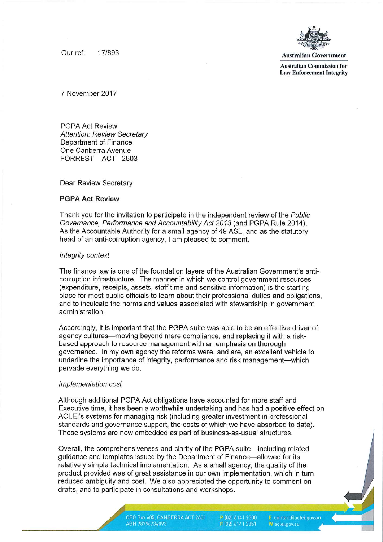Our ref: 17/893 **Australian Government** 



Australian Commission for Law Enforcement Integrity

7 November 2017

PGPA Act Review Attention: Review Secretary Department of Finance One Canberra Avenue FORREST ACT 2603

Dear Review Secretary

# PGPA Act Review

Thank you for the invitation to participate in the independent review of the Public Governance, Performance and Accountability Act 2013 (and PGPA Rule 2014). As the Accountable Authority for a small agency of 49 ASL, and as the statutory head of an anti-corruption agency, I am pleased to comment.

## Integrity context

The finance law is one of the foundation layers of the Australian Government's anticorruption infrastructure. The manner in which we control government resources (expenditure, receipts, assets, staff time and sensitive information) is the starting place for most public officials to learn about their professional duties and obligations, and to inculcate the norms and values associated with stewardship in government administration.

Accordingly, it is important that the PGPA suite was able to be an effective driver of agency cultures—moving beyond mere compliance, and replacing it with a riskbased approach to resource management with an emphasis on thorough governance. In my own agency the reforms were, and are, an excellent vehicle to underline the importance of integrity, performance and risk management—which pervade everything we do.

## Implementation cost

Although additional PGPA Act obligations have accounted for more staff and Executive time, it has been a worthwhile undertaking and has had a positive effect on ACLEI's systems for managing risk (including greater investment in professional standards and governance support, the costs of which we have absorbed to date). These systems are now embedded as part of business-as-usual structures.

Overall, the comprehensiveness and clarity of the PGPA suite—including related guidance and templates issued by the Department of Finance—allowed for its relatively simple technical implementation. As a small agency, the quality of the product provided was of great assistance in our own implementation, which in turn reduced ambiguity and cost. We also appreciated the opportunity to comment on drafts, and to participate in consultations and workshops.

P [02] 6141 2300 F (02) 6141 2351

E contact@aclei.gov.au W aclei.gov.au